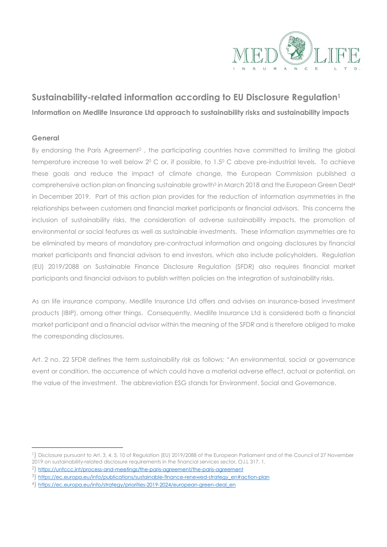

# **Sustainability-related information according to EU Disclosure Regulation<sup>1</sup> Information on Medlife Insurance Ltd approach to sustainability risks and sustainability impacts**

## **General**

By endorsing the Paris Agreement<sup>2</sup>, the participating countries have committed to limiting the global temperature increase to well below 20 C or, if possible, to 1.50 C above pre-industrial levels. To achieve these goals and reduce the impact of climate change, the European Commission published a comprehensive action plan on financing sustainable growth<sup>3</sup> in March 2018 and the European Green Deal<sup>4</sup> in December 2019. Part of this action plan provides for the reduction of information asymmetries in the relationships between customers and financial market participants or financial advisors. This concerns the inclusion of sustainability risks, the consideration of adverse sustainability impacts, the promotion of environmental or social features as well as sustainable investments. These information asymmetries are to be eliminated by means of mandatory pre-contractual information and ongoing disclosures by financial market participants and financial advisors to end investors, which also include policyholders. Regulation (EU) 2019/2088 on Sustainable Finance Disclosure Regulation (SFDR) also requires financial market participants and financial advisors to publish written policies on the integration of sustainability risks.

As an life insurance company, Medlife Insurance Ltd offers and advises on insurance-based investment products (IBIP), among other things. Consequently, Medlife Insurance Ltd is considered both a financial market participant and a financial advisor within the meaning of the SFDR and is therefore obliged to make the corresponding disclosures.

Art. 2 no. 22 SFDR defines the term *sustainability risk* as follows: "An environmental, social or governance event or condition, the occurrence of which could have a material adverse effect, actual or potential, on the value of the investment. The abbreviation ESG stands for Environment, Social and Governance.

<sup>&</sup>lt;sup>1</sup>) Disclosure pursuant to Art. 3, 4, 5, 10 of Regulation (EU) 2019/2088 of the European Parliament and of the Council of 27 November 2019 on sustainability-related disclosure requirements in the financial services sector, OJ.L 317, 1.

<sup>&</sup>lt;sup>2</sup>) https://unfccc.int/process-and-meetings/the-paris-agreement/the-paris-agreement

<sup>3)</sup> https://ec.europa.eu/info/publications/sustainable-finance-renewed-strategy\_en#action-plan

<sup>4</sup>) https://ec.europa.eu/info/strategy/priorities-2019-2024/european-green-deal\_en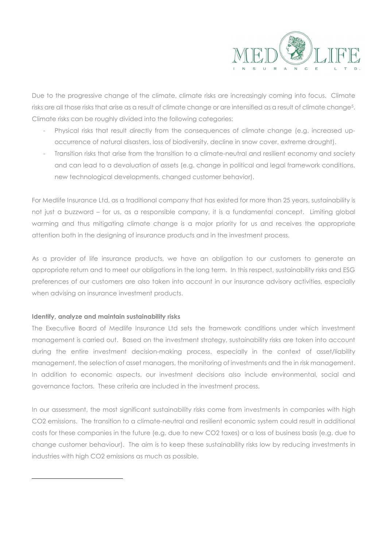

Due to the progressive change of the climate, climate risks are increasingly coming into focus. Climate risks are all those risks that arise as a result of climate change or are intensified as a result of climate change<sup>5</sup>. Climate risks can be roughly divided into the following categories:

- Physical risks that result directly from the consequences of climate change (e.g. increased upoccurrence of natural disasters, loss of biodiversity, decline in snow cover, extreme drought).
- Transition risks that arise from the transition to a climate-neutral and resilient economy and society and can lead to a devaluation of assets (e.g. change in political and legal framework conditions, new technological developments, changed customer behavior).

For Medlife Insurance Ltd, as a traditional company that has existed for more than 25 years, sustainability is not just a buzzword – for us, as a responsible company, it is a fundamental concept. Limiting global warming and thus mitigating climate change is a major priority for us and receives the appropriate attention both in the designing of insurance products and in the investment process.

As a provider of life insurance products, we have an obligation to our customers to generate an appropriate return and to meet our obligations in the long term. In this respect, sustainability risks and ESG preferences of our customers are also taken into account in our insurance advisory activities, especially when advising on insurance investment products.

#### **Identify, analyze and maintain sustainability risks**

The Executive Board of Medlife Insurance Ltd sets the framework conditions under which investment management is carried out. Based on the investment strategy, sustainability risks are taken into account during the entire investment decision-making process, especially in the context of asset/liability management, the selection of asset managers, the monitoring of investments and the in risk management. In addition to economic aspects, our investment decisions also include environmental, social and governance factors. These criteria are included in the investment process.

In our assessment, the most significant sustainability risks come from investments in companies with high CO2 emissions. The transition to a climate-neutral and resilient economic system could result in additional costs for these companies in the future (e.g. due to new CO2 taxes) or a loss of business basis (e.g. due to change customer behaviour). The aim is to keep these sustainability risks low by reducing investments in industries with high CO2 emissions as much as possible.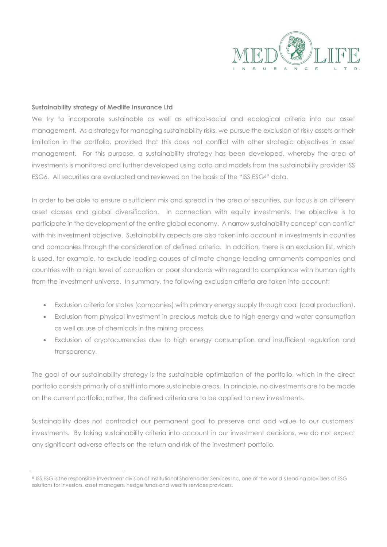

#### **Sustainability strategy of Medlife Insurance Ltd**

We try to incorporate sustainable as well as ethical-social and ecological criteria into our asset management. As a strategy for managing sustainability risks, we pursue the exclusion of risky assets or their limitation in the portfolio, provided that this does not conflict with other strategic objectives in asset management. For this purpose, a sustainability strategy has been developed, whereby the area of investments is monitored and further developed using data and models from the sustainability provider ISS ESG6. All securities are evaluated and reviewed on the basis of the "ISS ESG6" data.

In order to be able to ensure a sufficient mix and spread in the area of securities, our focus is on different asset classes and global diversification. In connection with equity investments, the objective is to participate in the development of the entire global economy. A narrow sustainability concept can conflict with this investment objective. Sustainability aspects are also taken into account in investments in counties and companies through the consideration of defined criteria. In addition, there is an exclusion list, which is used, for example, to exclude leading causes of climate change leading armaments companies and countries with a high level of corruption or poor standards with regard to compliance with human rights from the investment universe. In summary, the following exclusion criteria are taken into account:

- Exclusion criteria for states (companies) with primary energy supply through coal (coal production).
- Exclusion from physical investment in precious metals due to high energy and water consumption as well as use of chemicals in the mining process.
- Exclusion of cryptocurrencies due to high energy consumption and insufficient regulation and transparency.

The goal of our sustainability strategy is the sustainable optimization of the portfolio, which in the direct portfolio consists primarily of a shift into more sustainable areas. In principle, no divestments are to be made on the current portfolio; rather, the defined criteria are to be applied to new investments.

Sustainability does not contradict our permanent goal to preserve and add value to our customers' investments. By taking sustainability criteria into account in our investment decisions, we do not expect any significant adverse effects on the return and risk of the investment portfolio.

<sup>&</sup>lt;sup>6</sup> ISS ESG is the responsible investment division of Institutional Shareholder Services Inc, one of the world's leading providers of ESG solutions for investors, asset managers, hedge funds and wealth services providers.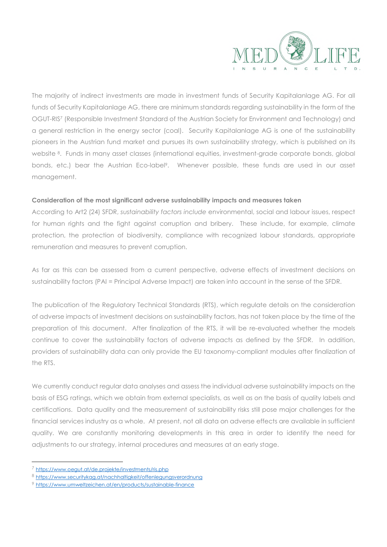

The majority of indirect investments are made in investment funds of Security Kapitalanlage AG. For all funds of Security Kapitalanlage AG, there are minimum standards regarding sustainability in the form of the OGUT-RIS7 (Responsible Investment Standard of the Austrian Society for Environment and Technology) and a general restriction in the energy sector (coal). Security Kapitalanlage AG is one of the sustainability pioneers in the Austrian fund market and pursues its own sustainability strategy, which is published on its website 8. Funds in many asset classes (international equities, investment-grade corporate bonds, global bonds, etc.) bear the Austrian Eco-label<sup>9</sup>. Whenever possible, these funds are used in our asset management.

### **Consideration of the most significant adverse sustainability impacts and measures taken**

According to Art2 (24) SFDR, *sustainability factors include* environmental, social and labour issues, respect for human rights and the fight against corruption and bribery. These include, for example, climate protection, the protection of biodiversity, compliance with recognized labour standards, appropriate remuneration and measures to prevent corruption.

As far as this can be assessed from a current perspective, adverse effects of investment decisions on sustainability factors (PAI = Principal Adverse Impact) are taken into account in the sense of the SFDR.

The publication of the Regulatory Technical Standards (RTS), which regulate details on the consideration of adverse impacts of investment decisions on sustainability factors, has not taken place by the time of the preparation of this document. After finalization of the RTS, it will be re-evaluated whether the models continue to cover the sustainability factors of adverse impacts as defined by the SFDR. In addition, providers of sustainability data can only provide the EU taxonomy-compliant modules after finalization of the RTS.

We currently conduct regular data analyses and assess the individual adverse sustainability impacts on the basis of ESG ratings, which we obtain from external specialists, as well as on the basis of quality labels and certifications. Data quality and the measurement of sustainability risks still pose major challenges for the financial services industry as a whole. At present, not all data on adverse effects are available in sufficient quality. We are constantly monitoring developments in this area in order to identify the need for adjustments to our strategy, internal procedures and measures at an early stage.

<sup>7</sup> https://www.oegut.at/de.projekte/investments/ris.php

<sup>8</sup> https://www.securitykag.at/nachhaltigkeit/offenlegungsverordnung

<sup>9</sup> https://www.umweltzeichen.at/en/products/sustainable-finance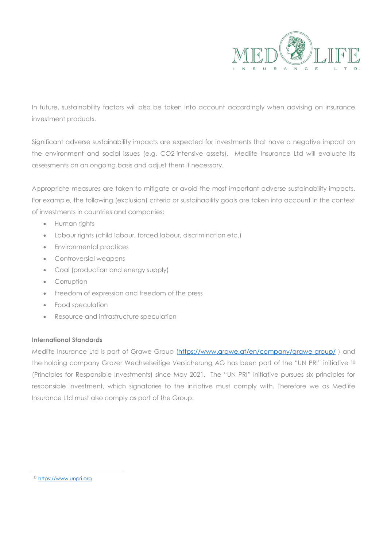

In future, sustainability factors will also be taken into account accordingly when advising on insurance investment products.

Significant adverse sustainability impacts are expected for investments that have a negative impact on the environment and social issues (e.g. CO2-intensive assets). Medlife Insurance Ltd will evaluate its assessments on an ongoing basis and adjust them if necessary.

Appropriate measures are taken to mitigate or avoid the most important adverse sustainability impacts. For example, the following (exclusion) criteria or sustainability goals are taken into account in the context of investments in countries and companies:

- Human rights
- Labour rights (child labour, forced labour, discrimination etc.)
- Environmental practices
- Controversial weapons
- Coal (production and energy supply)
- Corruption
- Freedom of expression and freedom of the press
- Food speculation
- Resource and infrastructure speculation

## **International Standards**

Medlife Insurance Ltd is part of Grawe Group (https://www.grawe.at/en/company/grawe-group/ ) and the holding company Grazer Wechselseitige Versicherung AG has been part of the "UN PRI" initiative <sup>10</sup> (Principles for Responsible Investments) since May 2021. The "UN PRI" initiative pursues six principles for responsible investment, which signatories to the initiative must comply with. Therefore we as Medlife Insurance Ltd must also comply as part of the Group.

<sup>10</sup> https://www.unpri.org